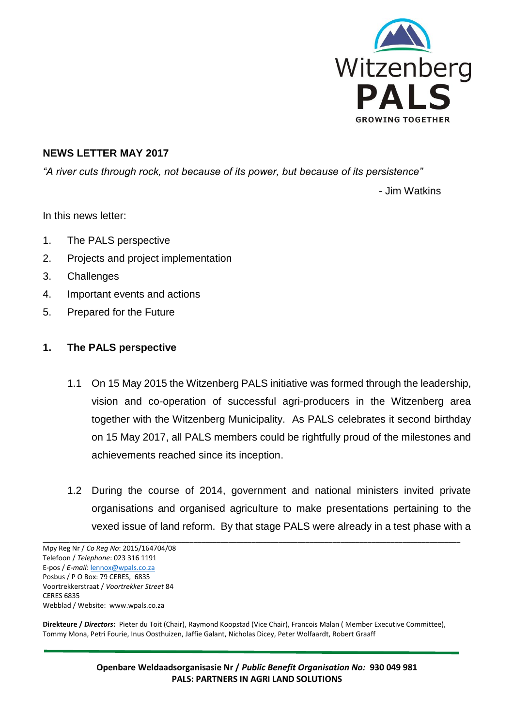

#### **NEWS LETTER MAY 2017**

*"A river cuts through rock, not because of its power, but because of its persistence"*

- Jim Watkins

In this news letter:

- 1. The PALS perspective
- 2. Projects and project implementation
- 3. Challenges
- 4. Important events and actions
- 5. Prepared for the Future

#### **1. The PALS perspective**

- 1.1 On 15 May 2015 the Witzenberg PALS initiative was formed through the leadership, vision and co-operation of successful agri-producers in the Witzenberg area together with the Witzenberg Municipality. As PALS celebrates it second birthday on 15 May 2017, all PALS members could be rightfully proud of the milestones and achievements reached since its inception.
- 1.2 During the course of 2014, government and national ministers invited private organisations and organised agriculture to make presentations pertaining to the vexed issue of land reform. By that stage PALS were already in a test phase with a

**Direkteure /** *Directors***:** Pieter du Toit (Chair), Raymond Koopstad (Vice Chair), Francois Malan ( Member Executive Committee), Tommy Mona, Petri Fourie, Inus Oosthuizen, Jaffie Galant, Nicholas Dicey, Peter Wolfaardt, Robert Graaff

\_\_\_\_\_\_\_\_\_\_\_\_\_\_\_\_\_\_\_\_\_\_\_\_\_\_\_\_\_\_\_\_\_\_\_\_\_\_\_\_\_\_\_\_\_\_\_\_\_\_\_\_\_\_\_\_\_\_\_\_\_\_\_\_\_\_\_\_\_\_\_\_\_\_\_\_\_\_\_\_\_\_\_\_\_\_\_\_\_\_\_\_\_\_\_\_\_\_\_\_\_\_\_\_\_\_\_\_

**Openbare Weldaadsorganisasie Nr /** *Public Benefit Organisation No:* **930 049 981 PALS: PARTNERS IN AGRI LAND SOLUTIONS**

Mpy Reg Nr / *Co Reg No*: 2015/164704/08 Telefoon / *Telephone*: 023 316 1191 E-pos / *E-mail*[: lennox@wpals.co.za](mailto:lennox@wpals.co.za) Posbus / P O Box: 79 CERES, 6835 Voortrekkerstraat / *Voortrekker Street* 84 CERES 6835 Webblad / Website: www.wpals.co.za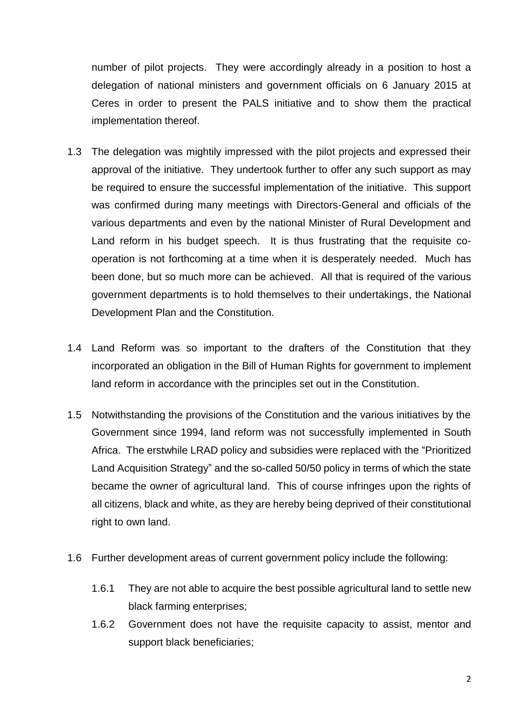number of pilot projects. They were accordingly already in a position to host a delegation of national ministers and government officials on 6 January 2015 at Ceres in order to present the PALS initiative and to show them the practical implementation thereof.

- 1.3 The delegation was mightily impressed with the pilot projects and expressed their approval of the initiative. They undertook further to offer any such support as may be required to ensure the successful implementation of the initiative. This support was confirmed during many meetings with Directors-General and officials of the various departments and even by the national Minister of Rural Development and Land reform in his budget speech. It is thus frustrating that the requisite cooperation is not forthcoming at a time when it is desperately needed. Much has been done, but so much more can be achieved. All that is required of the various government departments is to hold themselves to their undertakings, the National Development Plan and the Constitution.
- 1.4 Land Reform was so important to the drafters of the Constitution that they incorporated an obligation in the Bill of Human Rights for government to implement land reform in accordance with the principles set out in the Constitution.
- 1.5 Notwithstanding the provisions of the Constitution and the various initiatives by the Government since 1994, land reform was not successfully implemented in South Africa. The erstwhile LRAD policy and subsidies were replaced with the "Prioritized Land Acquisition Strategy" and the so-called 50/50 policy in terms of which the state became the owner of agricultural land. This of course infringes upon the rights of all citizens, black and white, as they are hereby being deprived of their constitutional right to own land.
- 1.6 Further development areas of current government policy include the following:
	- 1.6.1 They are not able to acquire the best possible agricultural land to settle new black farming enterprises;
	- 1.6.2 Government does not have the requisite capacity to assist, mentor and support black beneficiaries;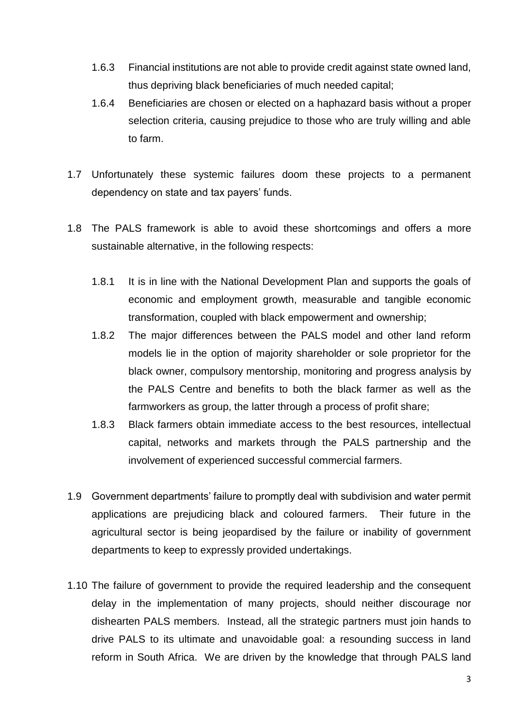- 1.6.3 Financial institutions are not able to provide credit against state owned land, thus depriving black beneficiaries of much needed capital;
- 1.6.4 Beneficiaries are chosen or elected on a haphazard basis without a proper selection criteria, causing prejudice to those who are truly willing and able to farm.
- 1.7 Unfortunately these systemic failures doom these projects to a permanent dependency on state and tax payers' funds.
- 1.8 The PALS framework is able to avoid these shortcomings and offers a more sustainable alternative, in the following respects:
	- 1.8.1 It is in line with the National Development Plan and supports the goals of economic and employment growth, measurable and tangible economic transformation, coupled with black empowerment and ownership;
	- 1.8.2 The major differences between the PALS model and other land reform models lie in the option of majority shareholder or sole proprietor for the black owner, compulsory mentorship, monitoring and progress analysis by the PALS Centre and benefits to both the black farmer as well as the farmworkers as group, the latter through a process of profit share;
	- 1.8.3 Black farmers obtain immediate access to the best resources, intellectual capital, networks and markets through the PALS partnership and the involvement of experienced successful commercial farmers.
- 1.9 Government departments' failure to promptly deal with subdivision and water permit applications are prejudicing black and coloured farmers. Their future in the agricultural sector is being jeopardised by the failure or inability of government departments to keep to expressly provided undertakings.
- 1.10 The failure of government to provide the required leadership and the consequent delay in the implementation of many projects, should neither discourage nor dishearten PALS members. Instead, all the strategic partners must join hands to drive PALS to its ultimate and unavoidable goal: a resounding success in land reform in South Africa. We are driven by the knowledge that through PALS land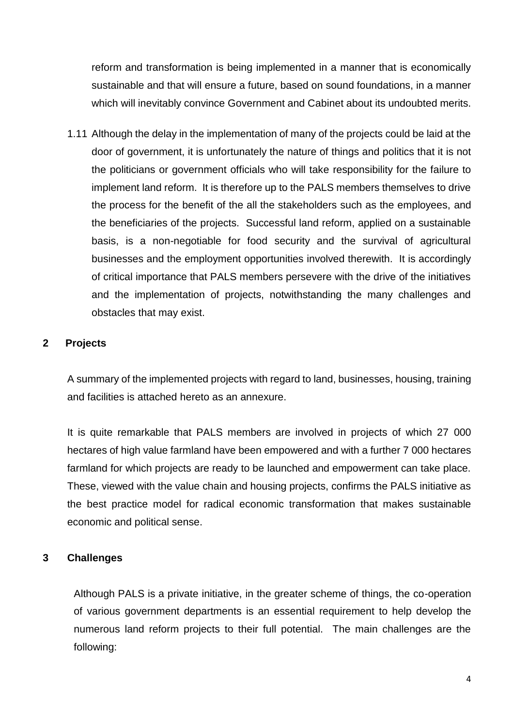reform and transformation is being implemented in a manner that is economically sustainable and that will ensure a future, based on sound foundations, in a manner which will inevitably convince Government and Cabinet about its undoubted merits.

1.11 Although the delay in the implementation of many of the projects could be laid at the door of government, it is unfortunately the nature of things and politics that it is not the politicians or government officials who will take responsibility for the failure to implement land reform. It is therefore up to the PALS members themselves to drive the process for the benefit of the all the stakeholders such as the employees, and the beneficiaries of the projects. Successful land reform, applied on a sustainable basis, is a non-negotiable for food security and the survival of agricultural businesses and the employment opportunities involved therewith. It is accordingly of critical importance that PALS members persevere with the drive of the initiatives and the implementation of projects, notwithstanding the many challenges and obstacles that may exist.

# **2 Projects**

A summary of the implemented projects with regard to land, businesses, housing, training and facilities is attached hereto as an annexure.

It is quite remarkable that PALS members are involved in projects of which 27 000 hectares of high value farmland have been empowered and with a further 7 000 hectares farmland for which projects are ready to be launched and empowerment can take place. These, viewed with the value chain and housing projects, confirms the PALS initiative as the best practice model for radical economic transformation that makes sustainable economic and political sense.

## **3 Challenges**

Although PALS is a private initiative, in the greater scheme of things, the co-operation of various government departments is an essential requirement to help develop the numerous land reform projects to their full potential. The main challenges are the following: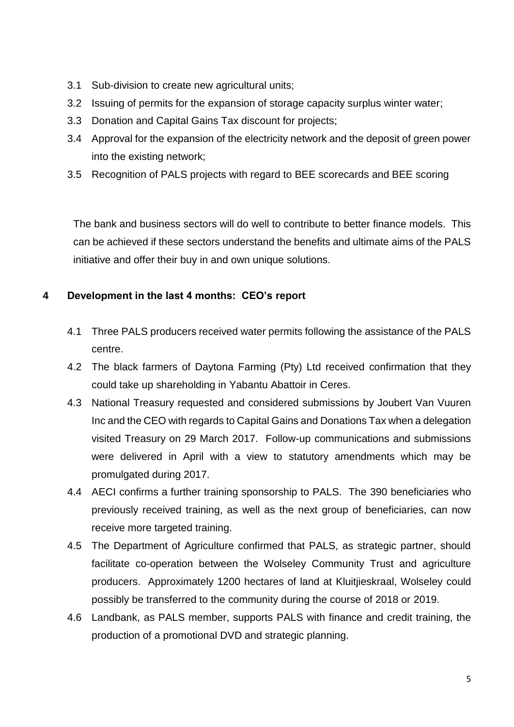- 3.1 Sub-division to create new agricultural units;
- 3.2 Issuing of permits for the expansion of storage capacity surplus winter water;
- 3.3 Donation and Capital Gains Tax discount for projects;
- 3.4 Approval for the expansion of the electricity network and the deposit of green power into the existing network;
- 3.5 Recognition of PALS projects with regard to BEE scorecards and BEE scoring

The bank and business sectors will do well to contribute to better finance models. This can be achieved if these sectors understand the benefits and ultimate aims of the PALS initiative and offer their buy in and own unique solutions.

## **4 Development in the last 4 months: CEO's report**

- 4.1 Three PALS producers received water permits following the assistance of the PALS centre.
- 4.2 The black farmers of Daytona Farming (Pty) Ltd received confirmation that they could take up shareholding in Yabantu Abattoir in Ceres.
- 4.3 National Treasury requested and considered submissions by Joubert Van Vuuren Inc and the CEO with regards to Capital Gains and Donations Tax when a delegation visited Treasury on 29 March 2017. Follow-up communications and submissions were delivered in April with a view to statutory amendments which may be promulgated during 2017.
- 4.4 AECI confirms a further training sponsorship to PALS. The 390 beneficiaries who previously received training, as well as the next group of beneficiaries, can now receive more targeted training.
- 4.5 The Department of Agriculture confirmed that PALS, as strategic partner, should facilitate co-operation between the Wolseley Community Trust and agriculture producers. Approximately 1200 hectares of land at Kluitjieskraal, Wolseley could possibly be transferred to the community during the course of 2018 or 2019.
- 4.6 Landbank, as PALS member, supports PALS with finance and credit training, the production of a promotional DVD and strategic planning.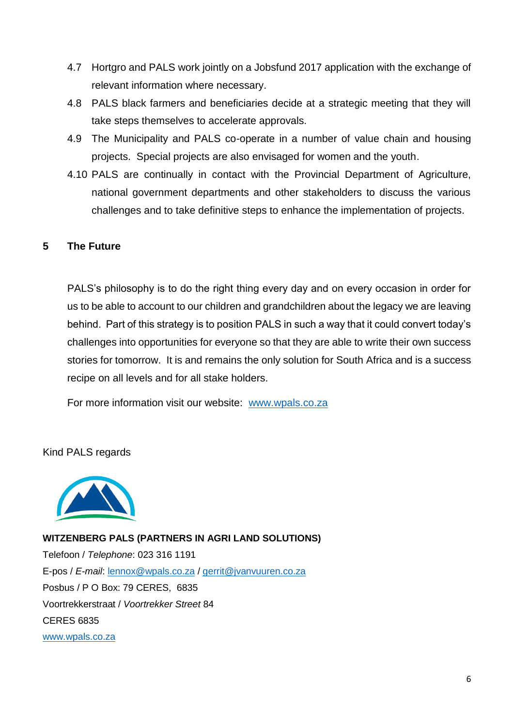- 4.7 Hortgro and PALS work jointly on a Jobsfund 2017 application with the exchange of relevant information where necessary.
- 4.8 PALS black farmers and beneficiaries decide at a strategic meeting that they will take steps themselves to accelerate approvals.
- 4.9 The Municipality and PALS co-operate in a number of value chain and housing projects. Special projects are also envisaged for women and the youth.
- 4.10 PALS are continually in contact with the Provincial Department of Agriculture, national government departments and other stakeholders to discuss the various challenges and to take definitive steps to enhance the implementation of projects.

## **5 The Future**

PALS's philosophy is to do the right thing every day and on every occasion in order for us to be able to account to our children and grandchildren about the legacy we are leaving behind. Part of this strategy is to position PALS in such a way that it could convert today's challenges into opportunities for everyone so that they are able to write their own success stories for tomorrow. It is and remains the only solution for South Africa and is a success recipe on all levels and for all stake holders.

For more information visit our website: [www.wpals.co.za](http://www.wpals.co.za/)

Kind PALS regards



**WITZENBERG PALS (PARTNERS IN AGRI LAND SOLUTIONS)** Telefoon / *Telephone*: 023 316 1191 E-pos / *E-mail*: [lennox@wpals.co.za](mailto:lennox@wpals.co.za) / [gerrit@jvanvuuren.co.za](mailto:gerrit@jvanvuuren.co.za) Posbus / P O Box: 79 CERES, 6835 Voortrekkerstraat / *Voortrekker Street* 84 CERES 6835 [www.wpals.co.za](http://www.wpals.co.za/)